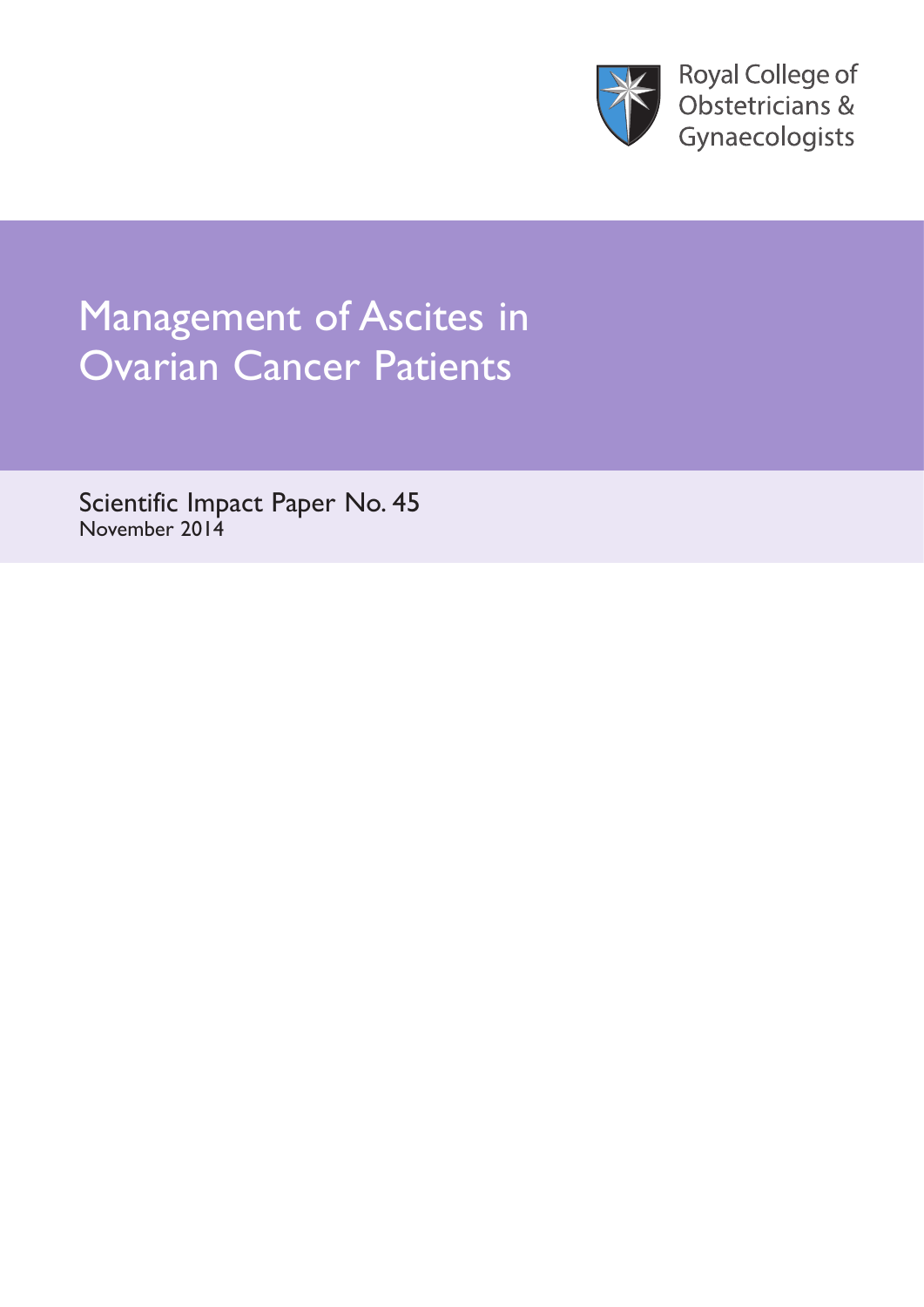

**Royal College of** Obstetricians & Gynaecologists

# Management of Ascites in<br>Ovarian Cancer Patients

Scientific Impact Paper Provider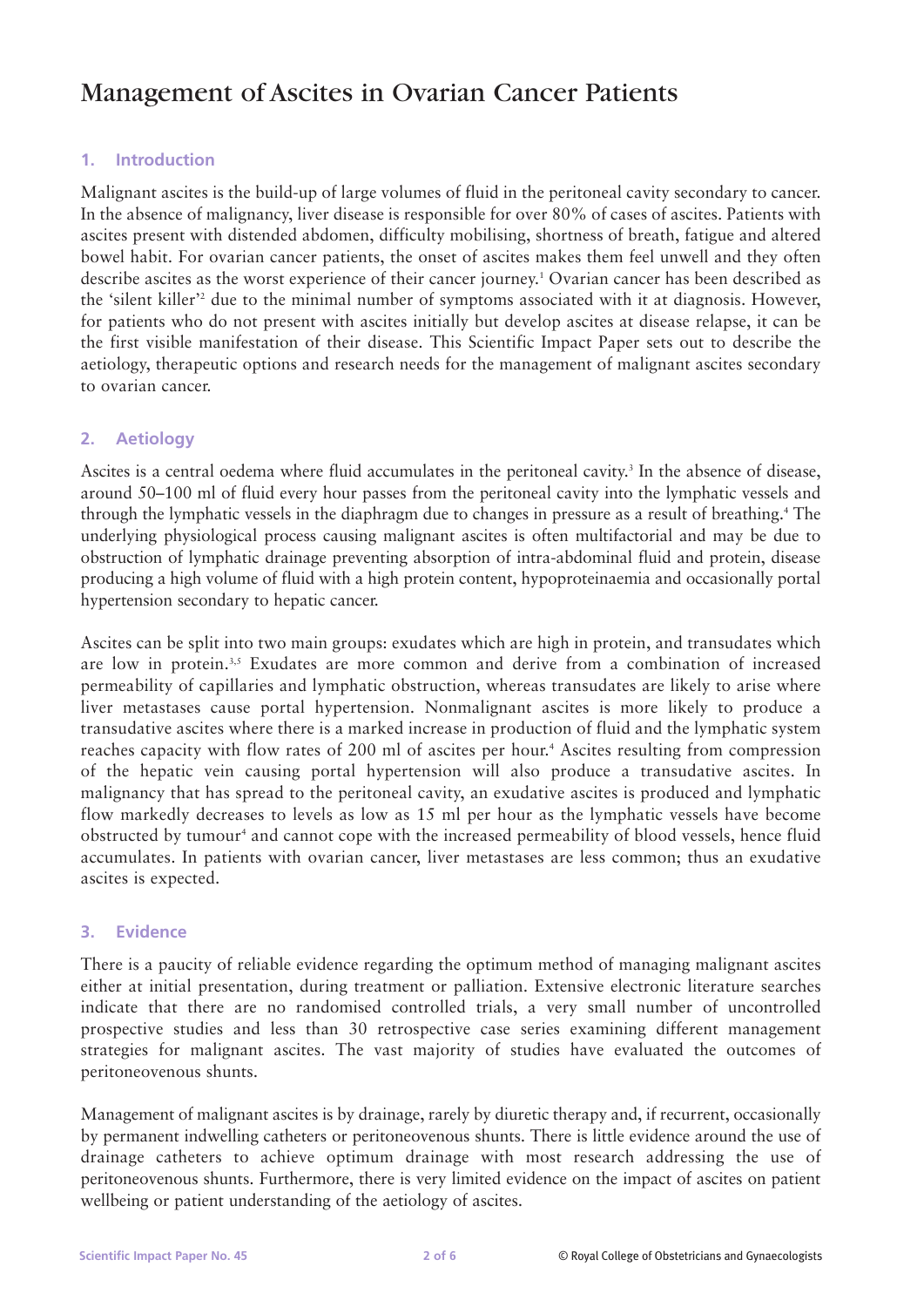# Management of Ascites in Ovarian Cancer Patients

# **1. Introduction**

Malignant ascites is the build-up of large volumes of fluid in the peritoneal cavity secondary to cancer. In the absence of malignancy, liver disease is responsible for over 80% of cases of ascites. Patients with ascites present with distended abdomen, difficulty mobilising, shortness of breath, fatigue and altered bowel habit. For ovarian cancer patients, the onset of ascites makes them feel unwell and they often describe ascites as the worst experience of their cancer journey.1 Ovarian cancer has been described as the 'silent killer'2 due to the minimal number of symptoms associated with it at diagnosis. However, for patients who do not present with ascites initially but develop ascites at disease relapse, it can be the first visible manifestation of their disease. This Scientific Impact Paper sets out to describe the aetiology, therapeutic options and research needs for the management of malignant ascites secondary to ovarian cancer.

# **2. Aetiology**

Ascites is a central oedema where fluid accumulates in the peritoneal cavity.<sup>3</sup> In the absence of disease, around 50–100 ml of fluid every hour passes from the peritoneal cavity into the lymphatic vessels and through the lymphatic vessels in the diaphragm due to changes in pressure as a result of breathing.4 The underlying physiological process causing malignant ascites is often multifactorial and may be due to obstruction of lymphatic drainage preventing absorption of intra-abdominal fluid and protein, disease producing a high volume of fluid with a high protein content, hypoproteinaemia and occasionally portal hypertension secondary to hepatic cancer.

Ascites can be split into two main groups: exudates which are high in protein, and transudates which are low in protein.<sup>3,5</sup> Exudates are more common and derive from a combination of increased permeability of capillaries and lymphatic obstruction, whereas transudates are likely to arise where liver metastases cause portal hypertension. Nonmalignant ascites is more likely to produce a transudative ascites where there is a marked increase in production of fluid and the lymphatic system reaches capacity with flow rates of 200 ml of ascites per hour.<sup>4</sup> Ascites resulting from compression of the hepatic vein causing portal hypertension will also produce a transudative ascites. In malignancy that has spread to the peritoneal cavity, an exudative ascites is produced and lymphatic flow markedly decreases to levels as low as 15 ml per hour as the lymphatic vessels have become obstructed by tumour<sup>4</sup> and cannot cope with the increased permeability of blood vessels, hence fluid accumulates. In patients with ovarian cancer, liver metastases are less common; thus an exudative ascites is expected.

#### **3. Evidence**

There is a paucity of reliable evidence regarding the optimum method of managing malignant ascites either at initial presentation, during treatment or palliation. Extensive electronic literature searches indicate that there are no randomised controlled trials, a very small number of uncontrolled prospective studies and less than 30 retrospective case series examining different management strategies for malignant ascites. The vast majority of studies have evaluated the outcomes of peritoneovenous shunts.

Management of malignant ascites is by drainage, rarely by diuretic therapy and, if recurrent, occasionally by permanent indwelling catheters or peritoneovenous shunts. There is little evidence around the use of drainage catheters to achieve optimum drainage with most research addressing the use of peritoneovenous shunts. Furthermore, there is very limited evidence on the impact of ascites on patient wellbeing or patient understanding of the aetiology of ascites.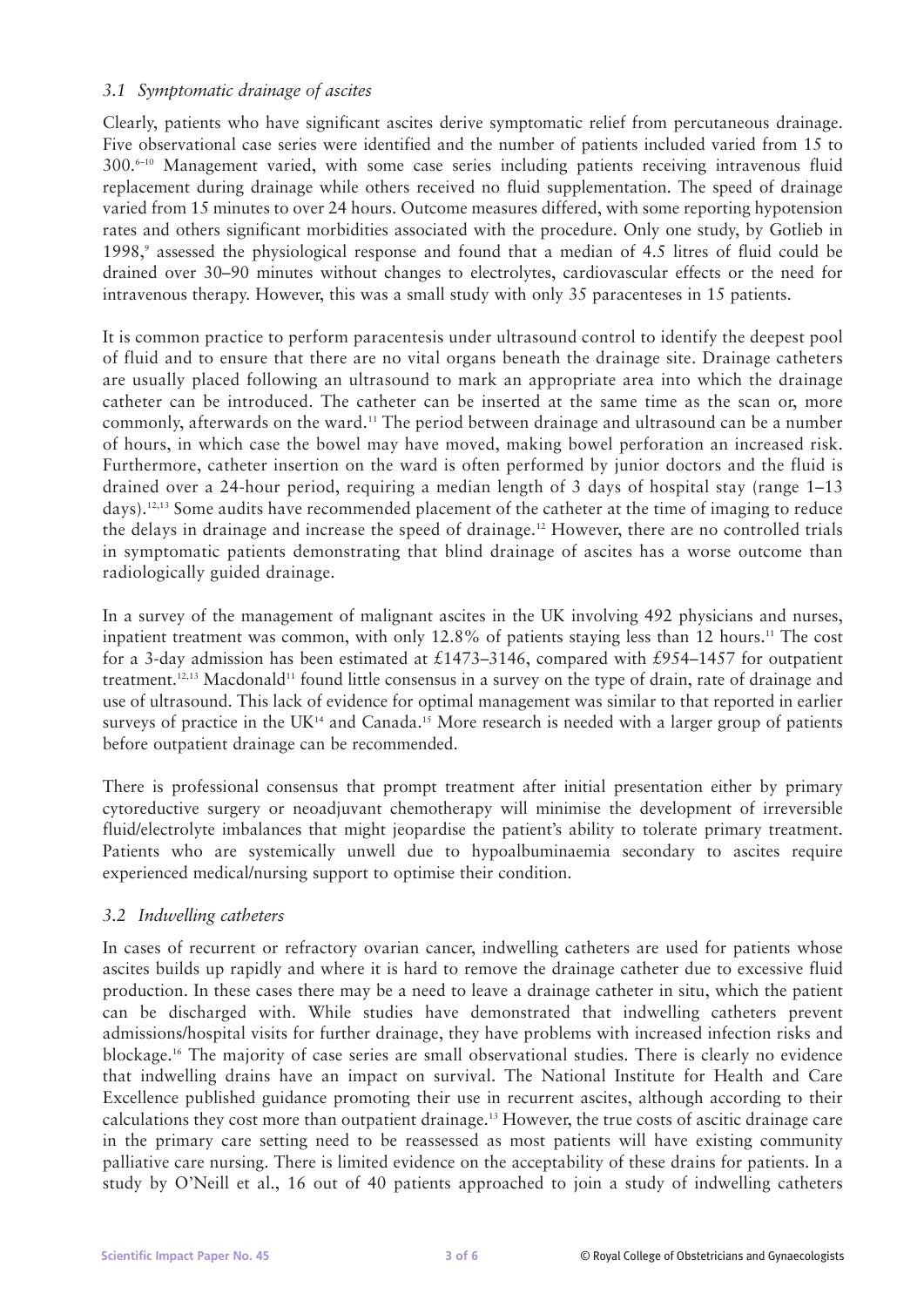# *3.1 Symptomatic drainage of ascites*

Clearly, patients who have significant ascites derive symptomatic relief from percutaneous drainage. Five observational case series were identified and the number of patients included varied from 15 to  $300.^{6-10}$  Management varied, with some case series including patients receiving intravenous fluid replacement during drainage while others received no fluid supplementation. The speed of drainage varied from 15 minutes to over 24 hours. Outcome measures differed, with some reporting hypotension rates and others significant morbidities associated with the procedure. Only one study, by Gotlieb in 1998,9 assessed the physiological response and found that a median of 4.5 litres of fluid could be drained over 30–90 minutes without changes to electrolytes, cardiovascular effects or the need for intravenous therapy. However, this was a small study with only 35 paracenteses in 15 patients.

It is common practice to perform paracentesis under ultrasound control to identify the deepest pool of fluid and to ensure that there are no vital organs beneath the drainage site. Drainage catheters are usually placed following an ultrasound to mark an appropriate area into which the drainage catheter can be introduced. The catheter can be inserted at the same time as the scan or, more commonly, afterwards on the ward.11 The period between drainage and ultrasound can be a number of hours, in which case the bowel may have moved, making bowel perforation an increased risk. Furthermore, catheter insertion on the ward is often performed by junior doctors and the fluid is drained over a 24-hour period, requiring a median length of 3 days of hospital stay (range 1–13 days).12,13 Some audits have recommended placement of the catheter at the time of imaging to reduce the delays in drainage and increase the speed of drainage.12 However, there are no controlled trials in symptomatic patients demonstrating that blind drainage of ascites has a worse outcome than radiologically guided drainage.

In a survey of the management of malignant ascites in the UK involving 492 physicians and nurses, inpatient treatment was common, with only 12.8% of patients staying less than 12 hours.<sup>11</sup> The cost for a 3-day admission has been estimated at £1473–3146, compared with £954–1457 for outpatient treatment.<sup>12,13</sup> Macdonald<sup>11</sup> found little consensus in a survey on the type of drain, rate of drainage and use of ultrasound. This lack of evidence for optimal management was similar to that reported in earlier surveys of practice in the  $UK<sup>14</sup>$  and Canada.<sup>15</sup> More research is needed with a larger group of patients before outpatient drainage can be recommended.

There is professional consensus that prompt treatment after initial presentation either by primary cytoreductive surgery or neoadjuvant chemotherapy will minimise the development of irreversible fluid/electrolyte imbalances that might jeopardise the patient's ability to tolerate primary treatment. Patients who are systemically unwell due to hypoalbuminaemia secondary to ascites require experienced medical/nursing support to optimise their condition.

#### *3.2 Indwelling catheters*

In cases of recurrent or refractory ovarian cancer, indwelling catheters are used for patients whose ascites builds up rapidly and where it is hard to remove the drainage catheter due to excessive fluid production. In these cases there may be a need to leave a drainage catheter in situ, which the patient can be discharged with. While studies have demonstrated that indwelling catheters prevent admissions/hospital visits for further drainage, they have problems with increased infection risks and blockage.16 The majority of case series are small observational studies. There is clearly no evidence that indwelling drains have an impact on survival. The National Institute for Health and Care Excellence published guidance promoting their use in recurrent ascites, although according to their calculations they cost more than outpatient drainage.13 However, the true costs of ascitic drainage care in the primary care setting need to be reassessed as most patients will have existing community palliative care nursing. There is limited evidence on the acceptability of these drains for patients. In a study by O'Neill et al., 16 out of 40 patients approached to join a study of indwelling catheters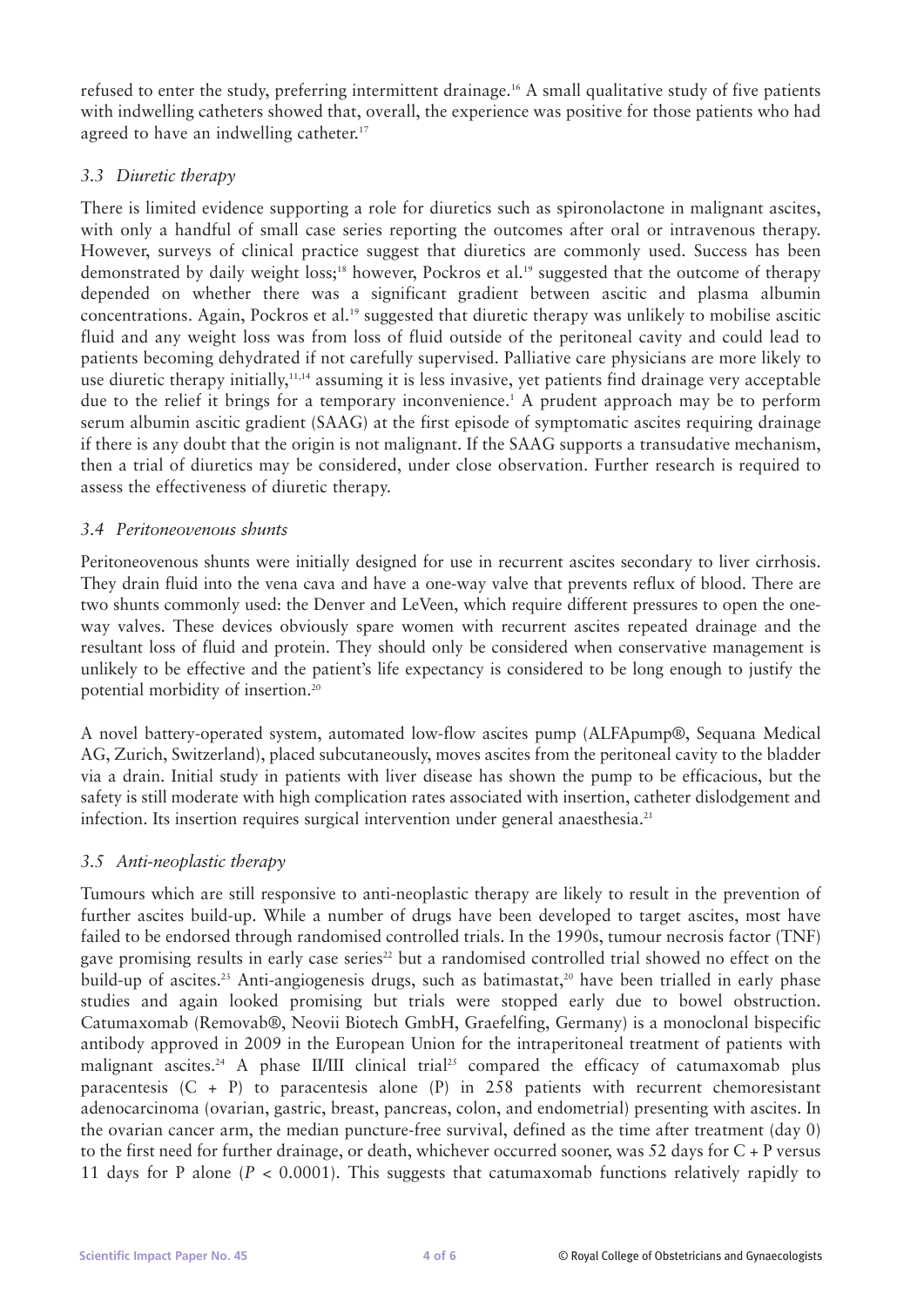refused to enter the study, preferring intermittent drainage.16 A small qualitative study of five patients with indwelling catheters showed that, overall, the experience was positive for those patients who had agreed to have an indwelling catheter.<sup>17</sup>

# *3.3 Diuretic therapy*

There is limited evidence supporting a role for diuretics such as spironolactone in malignant ascites, with only a handful of small case series reporting the outcomes after oral or intravenous therapy. However, surveys of clinical practice suggest that diuretics are commonly used. Success has been demonstrated by daily weight loss;<sup>18</sup> however, Pockros et al.<sup>19</sup> suggested that the outcome of therapy depended on whether there was a significant gradient between ascitic and plasma albumin concentrations. Again, Pockros et al.<sup>19</sup> suggested that diuretic therapy was unlikely to mobilise ascitic fluid and any weight loss was from loss of fluid outside of the peritoneal cavity and could lead to patients becoming dehydrated if not carefully supervised. Palliative care physicians are more likely to use diuretic therapy initially,<sup>11,14</sup> assuming it is less invasive, yet patients find drainage very acceptable due to the relief it brings for a temporary inconvenience.<sup>1</sup> A prudent approach may be to perform serum albumin ascitic gradient (SAAG) at the first episode of symptomatic ascites requiring drainage if there is any doubt that the origin is not malignant. If the SAAG supports a transudative mechanism, then a trial of diuretics may be considered, under close observation. Further research is required to assess the effectiveness of diuretic therapy.

#### *3.4 Peritoneovenous shunts*

Peritoneovenous shunts were initially designed for use in recurrent ascites secondary to liver cirrhosis. They drain fluid into the vena cava and have a one-way valve that prevents reflux of blood. There are two shunts commonly used: the Denver and LeVeen, which require different pressures to open the oneway valves. These devices obviously spare women with recurrent ascites repeated drainage and the resultant loss of fluid and protein. They should only be considered when conservative management is unlikely to be effective and the patient's life expectancy is considered to be long enough to justify the potential morbidity of insertion.20

A novel battery-operated system, automated low-flow ascites pump (ALFApump®, Sequana Medical AG, Zurich, Switzerland), placed subcutaneously, moves ascites from the peritoneal cavity to the bladder via a drain. Initial study in patients with liver disease has shown the pump to be efficacious, but the safety is still moderate with high complication rates associated with insertion, catheter dislodgement and infection. Its insertion requires surgical intervention under general anaesthesia.<sup>21</sup>

#### *3.5 Anti-neoplastic therapy*

Tumours which are still responsive to anti-neoplastic therapy are likely to result in the prevention of further ascites build-up. While a number of drugs have been developed to target ascites, most have failed to be endorsed through randomised controlled trials. In the 1990s, tumour necrosis factor (TNF) gave promising results in early case series<sup>22</sup> but a randomised controlled trial showed no effect on the build-up of ascites.<sup>23</sup> Anti-angiogenesis drugs, such as batimastat,<sup>20</sup> have been trialled in early phase studies and again looked promising but trials were stopped early due to bowel obstruction. Catumaxomab (Removab®, Neovii Biotech GmbH, Graefelfing, Germany) is a monoclonal bispecific antibody approved in 2009 in the European Union for the intraperitoneal treatment of patients with malignant ascites.<sup>24</sup> A phase II/III clinical trial<sup>25</sup> compared the efficacy of catumaxomab plus paracentesis  $(C + P)$  to paracentesis alone  $(P)$  in 258 patients with recurrent chemoresistant adenocarcinoma (ovarian, gastric, breast, pancreas, colon, and endometrial) presenting with ascites. In the ovarian cancer arm, the median puncture-free survival, defined as the time after treatment (day 0) to the first need for further drainage, or death, whichever occurred sooner, was 52 days for C + P versus 11 days for P alone (*P* < 0.0001). This suggests that catumaxomab functions relatively rapidly to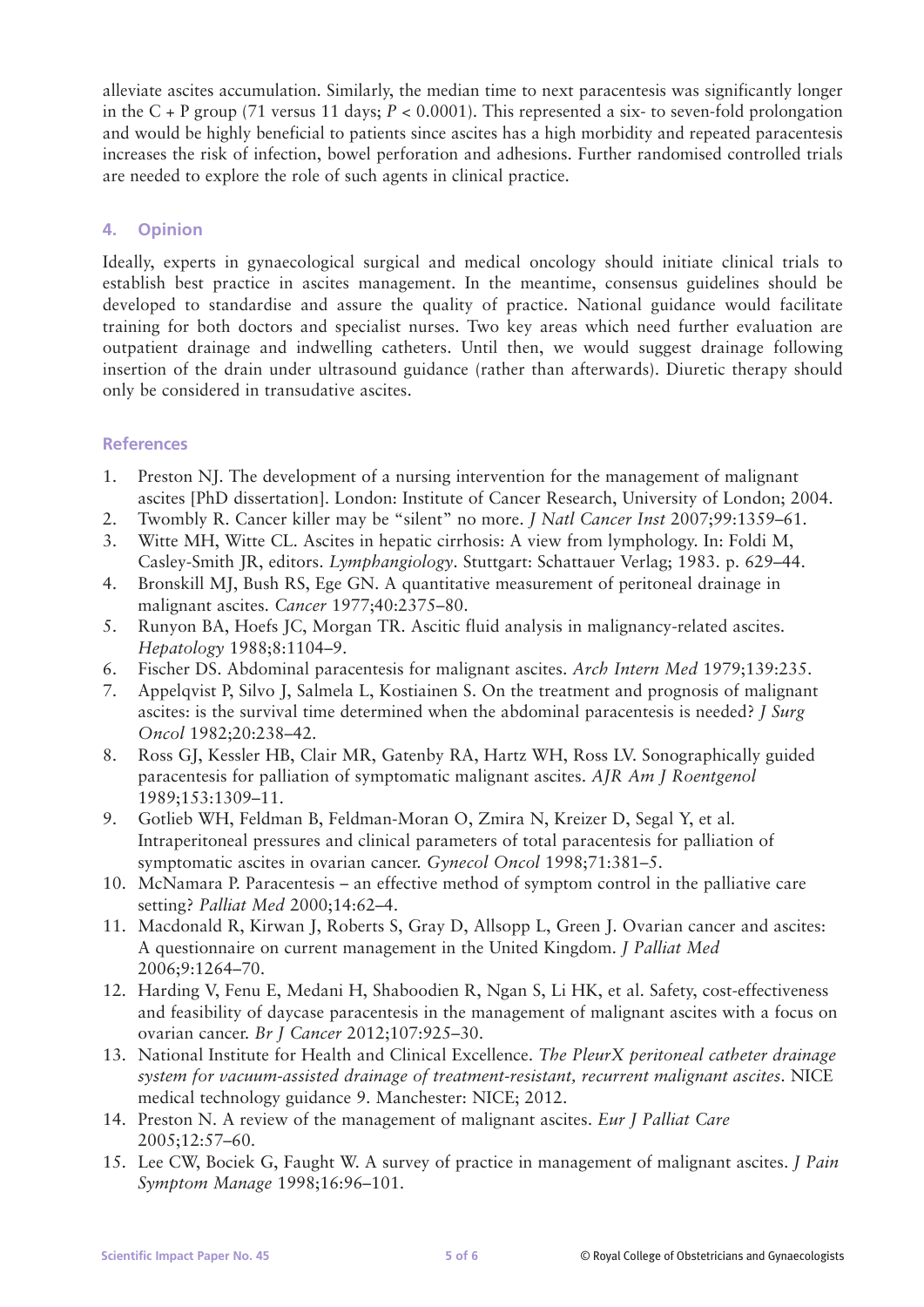alleviate ascites accumulation. Similarly, the median time to next paracentesis was significantly longer in the C + P group (71 versus 11 days; *P* < 0.0001). This represented a six- to seven-fold prolongation and would be highly beneficial to patients since ascites has a high morbidity and repeated paracentesis increases the risk of infection, bowel perforation and adhesions. Further randomised controlled trials are needed to explore the role of such agents in clinical practice.

# **4. Opinion**

Ideally, experts in gynaecological surgical and medical oncology should initiate clinical trials to establish best practice in ascites management. In the meantime, consensus guidelines should be developed to standardise and assure the quality of practice. National guidance would facilitate training for both doctors and specialist nurses. Two key areas which need further evaluation are outpatient drainage and indwelling catheters. Until then, we would suggest drainage following insertion of the drain under ultrasound guidance (rather than afterwards). Diuretic therapy should only be considered in transudative ascites.

# **References**

- 1. Preston NJ. The development of a nursing intervention for the management of malignant ascites [PhD dissertation]. London: Institute of Cancer Research, University of London; 2004.
- 2. Twombly R. Cancer killer may be "silent" no more. *J Natl Cancer Inst* 2007;99:1359–61.
- 3. Witte MH, Witte CL. Ascites in hepatic cirrhosis: A view from lymphology. In: Foldi M, Casley-Smith JR, editors. *Lymphangiology*. Stuttgart: Schattauer Verlag; 1983. p. 629–44.
- 4. Bronskill MJ, Bush RS, Ege GN. A quantitative measurement of peritoneal drainage in malignant ascites. *Cancer* 1977;40:2375–80.
- 5. Runyon BA, Hoefs JC, Morgan TR. Ascitic fluid analysis in malignancy-related ascites. *Hepatology* 1988;8:1104–9.
- 6. Fischer DS. Abdominal paracentesis for malignant ascites. *Arch Intern Med* 1979;139:235.
- 7. Appelqvist P, Silvo J, Salmela L, Kostiainen S. On the treatment and prognosis of malignant ascites: is the survival time determined when the abdominal paracentesis is needed? *J Surg Oncol* 1982;20:238–42.
- 8. Ross GJ, Kessler HB, Clair MR, Gatenby RA, Hartz WH, Ross LV. Sonographically guided paracentesis for palliation of symptomatic malignant ascites. *AJR Am J Roentgenol* 1989;153:1309–11.
- 9. Gotlieb WH, Feldman B, Feldman-Moran O, Zmira N, Kreizer D, Segal Y, et al. Intraperitoneal pressures and clinical parameters of total paracentesis for palliation of symptomatic ascites in ovarian cancer. *Gynecol Oncol* 1998;71:381–5.
- 10. McNamara P. Paracentesis an effective method of symptom control in the palliative care setting? *Palliat Med* 2000;14:62–4.
- 11. Macdonald R, Kirwan J, Roberts S, Gray D, Allsopp L, Green J. Ovarian cancer and ascites: A questionnaire on current management in the United Kingdom. *J Palliat Med* 2006;9:1264–70.
- 12. Harding V, Fenu E, Medani H, Shaboodien R, Ngan S, Li HK, et al. Safety, cost-effectiveness and feasibility of daycase paracentesis in the management of malignant ascites with a focus on ovarian cancer. *Br J Cancer* 2012;107:925–30.
- 13. National Institute for Health and Clinical Excellence. *The PleurX peritoneal catheter drainage system for vacuum-assisted drainage of treatment-resistant, recurrent malignant ascites*. NICE medical technology guidance 9. Manchester: NICE; 2012.
- 14. Preston N. A review of the management of malignant ascites. *Eur J Palliat Care* 2005;12:57–60.
- 15. Lee CW, Bociek G, Faught W. A survey of practice in management of malignant ascites. *J Pain Symptom Manage* 1998;16:96–101.